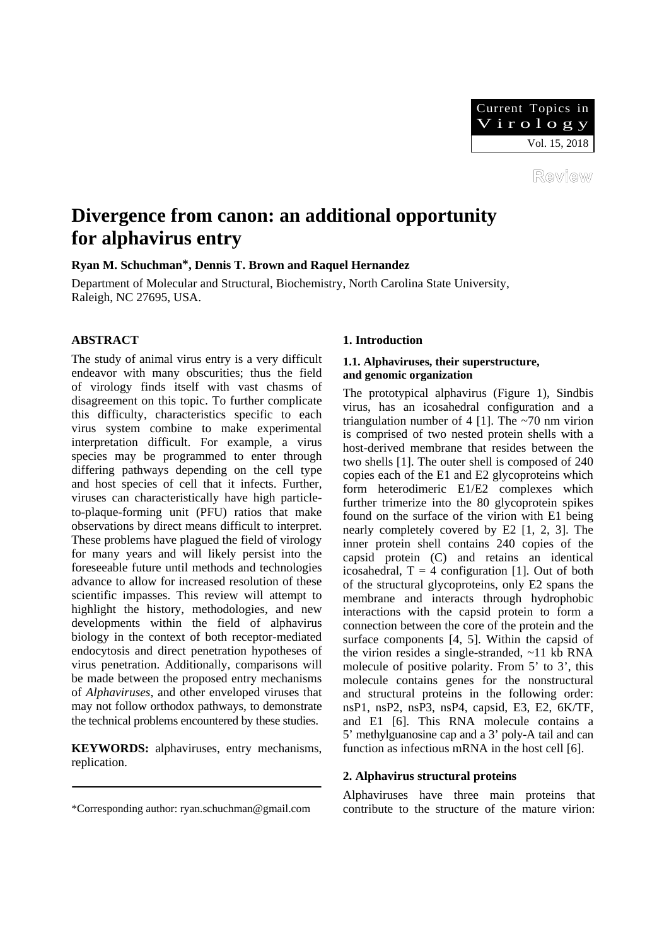

Review

# **Divergence from canon: an additional opportunity for alphavirus entry**

**Ryan M. Schuchman\*, Dennis T. Brown and Raquel Hernandez** 

Department of Molecular and Structural, Biochemistry, North Carolina State University, Raleigh, NC 27695, USA.

# **ABSTRACT**

The study of animal virus entry is a very difficult endeavor with many obscurities; thus the field of virology finds itself with vast chasms of disagreement on this topic. To further complicate this difficulty, characteristics specific to each virus system combine to make experimental interpretation difficult. For example, a virus species may be programmed to enter through differing pathways depending on the cell type and host species of cell that it infects. Further, viruses can characteristically have high particleto-plaque-forming unit (PFU) ratios that make observations by direct means difficult to interpret. These problems have plagued the field of virology for many years and will likely persist into the foreseeable future until methods and technologies advance to allow for increased resolution of these scientific impasses. This review will attempt to highlight the history, methodologies, and new developments within the field of alphavirus biology in the context of both receptor-mediated endocytosis and direct penetration hypotheses of virus penetration. Additionally, comparisons will be made between the proposed entry mechanisms of *Alphaviruses*, and other enveloped viruses that may not follow orthodox pathways, to demonstrate the technical problems encountered by these studies.

**KEYWORDS:** alphaviruses, entry mechanisms, replication.

# **1. Introduction**

# **1.1. Alphaviruses, their superstructure, and genomic organization**

The prototypical alphavirus (Figure 1), Sindbis virus, has an icosahedral configuration and a triangulation number of 4 [1]. The  $\sim$ 70 nm virion is comprised of two nested protein shells with a host-derived membrane that resides between the two shells [1]. The outer shell is composed of 240 copies each of the E1 and E2 glycoproteins which form heterodimeric E1/E2 complexes which further trimerize into the 80 glycoprotein spikes found on the surface of the virion with E1 being nearly completely covered by E2 [1, 2, 3]. The inner protein shell contains 240 copies of the capsid protein (C) and retains an identical icosahedral,  $T = 4$  configuration [1]. Out of both of the structural glycoproteins, only E2 spans the membrane and interacts through hydrophobic interactions with the capsid protein to form a connection between the core of the protein and the surface components [4, 5]. Within the capsid of the virion resides a single-stranded, ~11 kb RNA molecule of positive polarity. From 5' to 3', this molecule contains genes for the nonstructural and structural proteins in the following order: nsP1, nsP2, nsP3, nsP4, capsid, E3, E2, 6K/TF, and E1 [6]. This RNA molecule contains a 5' methylguanosine cap and a 3' poly-A tail and can function as infectious mRNA in the host cell [6].

# **2. Alphavirus structural proteins**

\*Corresponding author: ryan.schuchman@gmail.com

Alphaviruses have three main proteins that contribute to the structure of the mature virion: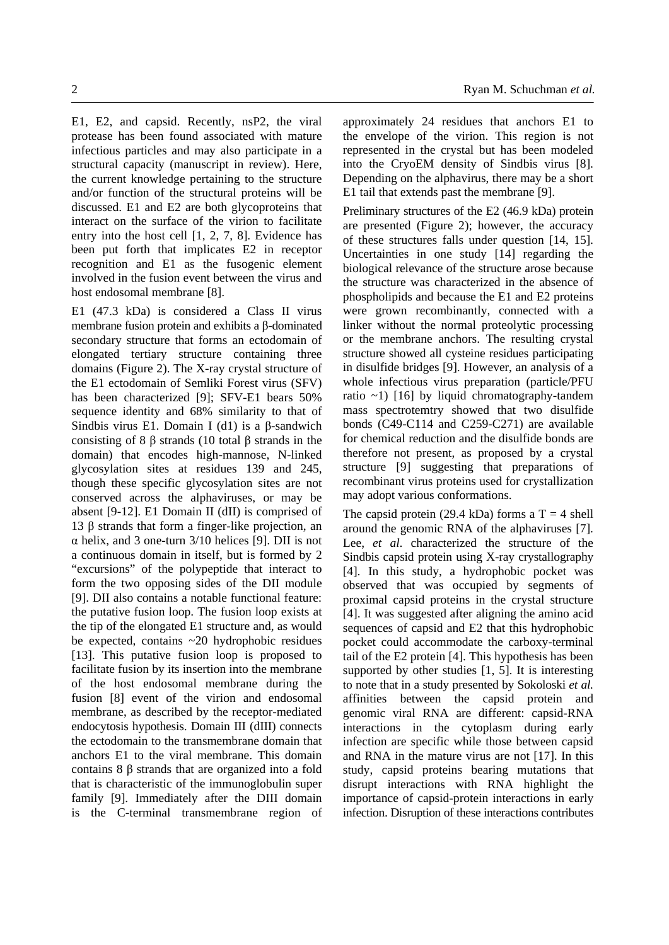E1, E2, and capsid. Recently, nsP2, the viral protease has been found associated with mature infectious particles and may also participate in a structural capacity (manuscript in review). Here, the current knowledge pertaining to the structure and/or function of the structural proteins will be discussed. E1 and E2 are both glycoproteins that interact on the surface of the virion to facilitate entry into the host cell [1, 2, 7, 8]. Evidence has been put forth that implicates E2 in receptor recognition and E1 as the fusogenic element

involved in the fusion event between the virus and

host endosomal membrane [8].

E1 (47.3 kDa) is considered a Class II virus membrane fusion protein and exhibits a β-dominated secondary structure that forms an ectodomain of elongated tertiary structure containing three domains (Figure 2). The X-ray crystal structure of the E1 ectodomain of Semliki Forest virus (SFV) has been characterized [9]; SFV-E1 bears 50% sequence identity and 68% similarity to that of Sindbis virus E1. Domain I (d1) is a  $\beta$ -sandwich consisting of 8 β strands (10 total β strands in the domain) that encodes high-mannose, N-linked glycosylation sites at residues 139 and 245, though these specific glycosylation sites are not conserved across the alphaviruses, or may be absent [9-12]. E1 Domain II (dII) is comprised of 13 β strands that form a finger-like projection, an  $\alpha$  helix, and 3 one-turn 3/10 helices [9]. DII is not a continuous domain in itself, but is formed by 2 "excursions" of the polypeptide that interact to form the two opposing sides of the DII module [9]. DII also contains a notable functional feature: the putative fusion loop. The fusion loop exists at the tip of the elongated E1 structure and, as would be expected, contains ~20 hydrophobic residues [13]. This putative fusion loop is proposed to facilitate fusion by its insertion into the membrane of the host endosomal membrane during the fusion [8] event of the virion and endosomal membrane, as described by the receptor-mediated endocytosis hypothesis. Domain III (dIII) connects the ectodomain to the transmembrane domain that anchors E1 to the viral membrane. This domain contains 8 β strands that are organized into a fold that is characteristic of the immunoglobulin super family [9]. Immediately after the DIII domain is the C-terminal transmembrane region of approximately 24 residues that anchors E1 to the envelope of the virion. This region is not represented in the crystal but has been modeled into the CryoEM density of Sindbis virus [8]. Depending on the alphavirus, there may be a short E1 tail that extends past the membrane [9].

Preliminary structures of the E2 (46.9 kDa) protein are presented (Figure 2); however, the accuracy of these structures falls under question [14, 15]. Uncertainties in one study [14] regarding the biological relevance of the structure arose because the structure was characterized in the absence of phospholipids and because the E1 and E2 proteins were grown recombinantly, connected with a linker without the normal proteolytic processing or the membrane anchors. The resulting crystal structure showed all cysteine residues participating in disulfide bridges [9]. However, an analysis of a whole infectious virus preparation (particle/PFU ratio  $\sim$ 1) [16] by liquid chromatography-tandem mass spectrotemtry showed that two disulfide bonds (C49-C114 and C259-C271) are available for chemical reduction and the disulfide bonds are therefore not present, as proposed by a crystal structure [9] suggesting that preparations of recombinant virus proteins used for crystallization may adopt various conformations.

The capsid protein (29.4 kDa) forms a  $T = 4$  shell around the genomic RNA of the alphaviruses [7]. Lee, *et al*. characterized the structure of the Sindbis capsid protein using X-ray crystallography [4]. In this study, a hydrophobic pocket was observed that was occupied by segments of proximal capsid proteins in the crystal structure [4]. It was suggested after aligning the amino acid sequences of capsid and E2 that this hydrophobic pocket could accommodate the carboxy-terminal tail of the E2 protein [4]. This hypothesis has been supported by other studies [1, 5]. It is interesting to note that in a study presented by Sokoloski *et al.* affinities between the capsid protein and genomic viral RNA are different: capsid-RNA interactions in the cytoplasm during early infection are specific while those between capsid and RNA in the mature virus are not [17]. In this study, capsid proteins bearing mutations that disrupt interactions with RNA highlight the importance of capsid-protein interactions in early infection. Disruption of these interactions contributes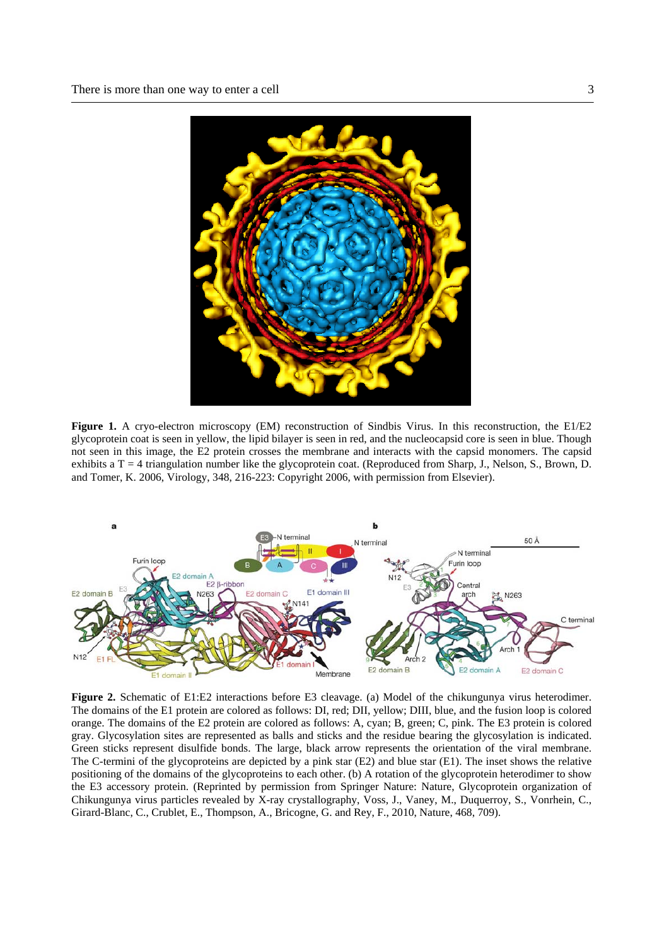

Figure 1. A cryo-electron microscopy (EM) reconstruction of Sindbis Virus. In this reconstruction, the E1/E2 glycoprotein coat is seen in yellow, the lipid bilayer is seen in red, and the nucleocapsid core is seen in blue. Though not seen in this image, the E2 protein crosses the membrane and interacts with the capsid monomers. The capsid exhibits a  $T = 4$  triangulation number like the glycoprotein coat. (Reproduced from Sharp, J., Nelson, S., Brown, D. and Tomer, K. 2006, Virology, 348, 216-223: Copyright 2006, with permission from Elsevier).



**Figure 2.** Schematic of E1:E2 interactions before E3 cleavage. (a) Model of the chikungunya virus heterodimer. The domains of the E1 protein are colored as follows: DI, red; DII, yellow; DIII, blue, and the fusion loop is colored orange. The domains of the E2 protein are colored as follows: A, cyan; B, green; C, pink. The E3 protein is colored gray. Glycosylation sites are represented as balls and sticks and the residue bearing the glycosylation is indicated. Green sticks represent disulfide bonds. The large, black arrow represents the orientation of the viral membrane. The C-termini of the glycoproteins are depicted by a pink star (E2) and blue star (E1). The inset shows the relative positioning of the domains of the glycoproteins to each other. (b) A rotation of the glycoprotein heterodimer to show the E3 accessory protein. (Reprinted by permission from Springer Nature: Nature, Glycoprotein organization of Chikungunya virus particles revealed by X-ray crystallography, Voss, J., Vaney, M., Duquerroy, S., Vonrhein, C., Girard-Blanc, C., Crublet, E., Thompson, A., Bricogne, G. and Rey, F., 2010, Nature, 468, 709).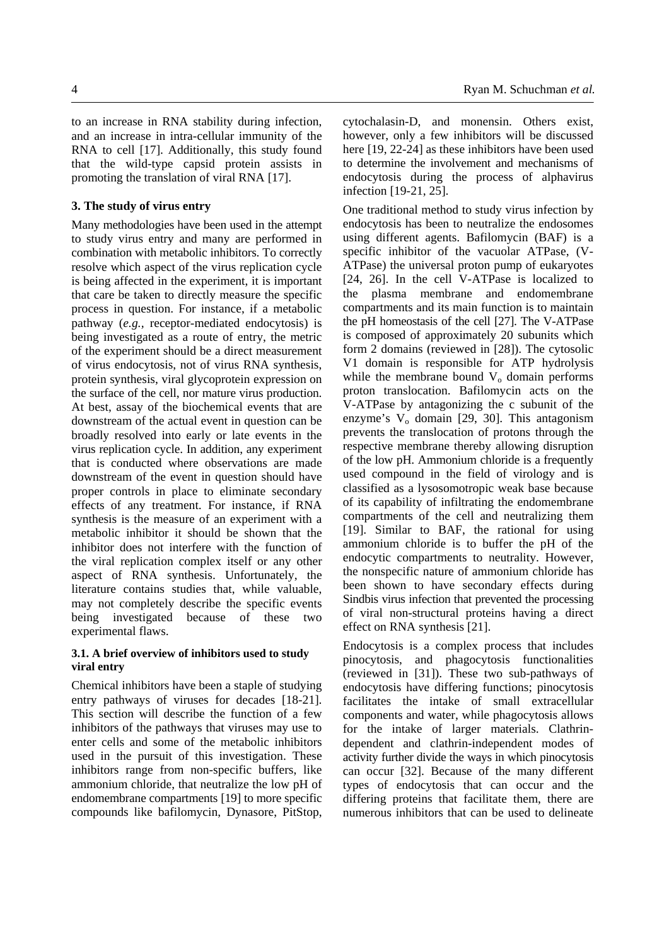to an increase in RNA stability during infection, and an increase in intra-cellular immunity of the RNA to cell [17]. Additionally, this study found that the wild-type capsid protein assists in promoting the translation of viral RNA [17].

#### **3. The study of virus entry**

Many methodologies have been used in the attempt to study virus entry and many are performed in combination with metabolic inhibitors. To correctly resolve which aspect of the virus replication cycle is being affected in the experiment, it is important that care be taken to directly measure the specific process in question. For instance, if a metabolic pathway (*e.g.,* receptor-mediated endocytosis) is being investigated as a route of entry, the metric of the experiment should be a direct measurement of virus endocytosis, not of virus RNA synthesis, protein synthesis, viral glycoprotein expression on the surface of the cell, nor mature virus production. At best, assay of the biochemical events that are downstream of the actual event in question can be broadly resolved into early or late events in the virus replication cycle. In addition, any experiment that is conducted where observations are made downstream of the event in question should have proper controls in place to eliminate secondary effects of any treatment. For instance, if RNA synthesis is the measure of an experiment with a metabolic inhibitor it should be shown that the inhibitor does not interfere with the function of the viral replication complex itself or any other aspect of RNA synthesis. Unfortunately, the literature contains studies that, while valuable, may not completely describe the specific events being investigated because of these two experimental flaws.

#### **3.1. A brief overview of inhibitors used to study viral entry**

Chemical inhibitors have been a staple of studying entry pathways of viruses for decades [18-21]. This section will describe the function of a few inhibitors of the pathways that viruses may use to enter cells and some of the metabolic inhibitors used in the pursuit of this investigation. These inhibitors range from non-specific buffers, like ammonium chloride, that neutralize the low pH of endomembrane compartments [19] to more specific compounds like bafilomycin, Dynasore, PitStop, cytochalasin-D, and monensin. Others exist, however, only a few inhibitors will be discussed here [19, 22-24] as these inhibitors have been used to determine the involvement and mechanisms of endocytosis during the process of alphavirus infection [19-21, 25].

One traditional method to study virus infection by endocytosis has been to neutralize the endosomes using different agents. Bafilomycin (BAF) is a specific inhibitor of the vacuolar ATPase, (V-ATPase) the universal proton pump of eukaryotes [24, 26]. In the cell V-ATPase is localized to the plasma membrane and endomembrane compartments and its main function is to maintain the pH homeostasis of the cell [27]. The V-ATPase is composed of approximately 20 subunits which form 2 domains (reviewed in [28]). The cytosolic V1 domain is responsible for ATP hydrolysis while the membrane bound  $V_0$  domain performs proton translocation. Bafilomycin acts on the V-ATPase by antagonizing the c subunit of the enzyme's  $V_0$  domain [29, 30]. This antagonism prevents the translocation of protons through the respective membrane thereby allowing disruption of the low pH. Ammonium chloride is a frequently used compound in the field of virology and is classified as a lysosomotropic weak base because of its capability of infiltrating the endomembrane compartments of the cell and neutralizing them [19]. Similar to BAF, the rational for using ammonium chloride is to buffer the pH of the endocytic compartments to neutrality. However, the nonspecific nature of ammonium chloride has been shown to have secondary effects during Sindbis virus infection that prevented the processing of viral non-structural proteins having a direct effect on RNA synthesis [21].

Endocytosis is a complex process that includes pinocytosis, and phagocytosis functionalities (reviewed in [31]). These two sub-pathways of endocytosis have differing functions; pinocytosis facilitates the intake of small extracellular components and water, while phagocytosis allows for the intake of larger materials. Clathrindependent and clathrin-independent modes of activity further divide the ways in which pinocytosis can occur [32]. Because of the many different types of endocytosis that can occur and the differing proteins that facilitate them, there are numerous inhibitors that can be used to delineate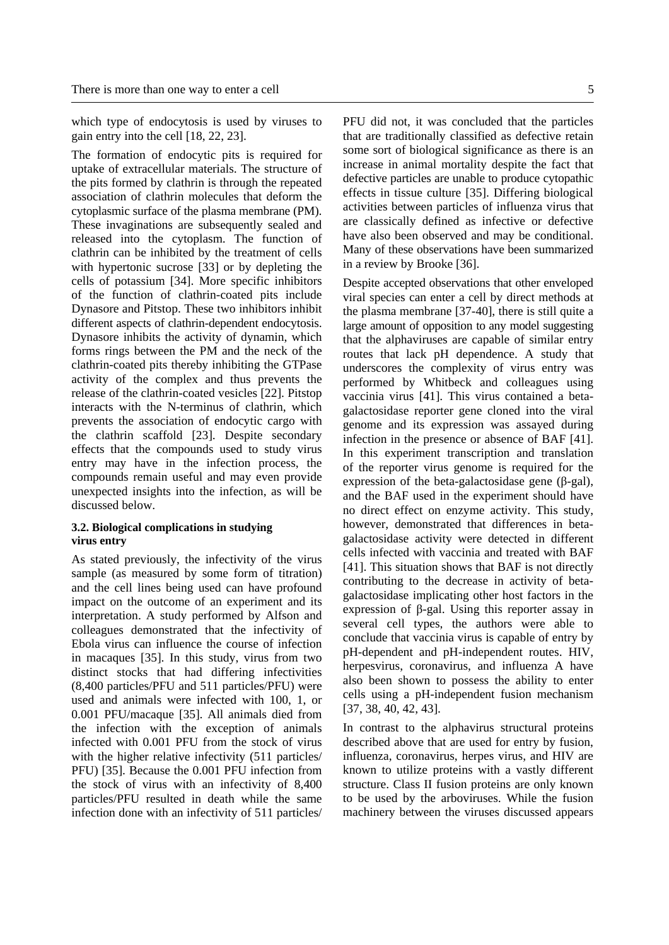which type of endocytosis is used by viruses to gain entry into the cell [18, 22, 23].

The formation of endocytic pits is required for uptake of extracellular materials. The structure of the pits formed by clathrin is through the repeated association of clathrin molecules that deform the cytoplasmic surface of the plasma membrane (PM). These invaginations are subsequently sealed and released into the cytoplasm. The function of clathrin can be inhibited by the treatment of cells with hypertonic sucrose [33] or by depleting the cells of potassium [34]. More specific inhibitors of the function of clathrin-coated pits include Dynasore and Pitstop. These two inhibitors inhibit different aspects of clathrin-dependent endocytosis. Dynasore inhibits the activity of dynamin, which forms rings between the PM and the neck of the clathrin-coated pits thereby inhibiting the GTPase activity of the complex and thus prevents the release of the clathrin-coated vesicles [22]. Pitstop interacts with the N-terminus of clathrin, which prevents the association of endocytic cargo with the clathrin scaffold [23]. Despite secondary effects that the compounds used to study virus entry may have in the infection process, the compounds remain useful and may even provide unexpected insights into the infection, as will be discussed below.

# **3.2. Biological complications in studying virus entry**

As stated previously, the infectivity of the virus sample (as measured by some form of titration) and the cell lines being used can have profound impact on the outcome of an experiment and its interpretation. A study performed by Alfson and colleagues demonstrated that the infectivity of Ebola virus can influence the course of infection in macaques [35]. In this study, virus from two distinct stocks that had differing infectivities (8,400 particles/PFU and 511 particles/PFU) were used and animals were infected with 100, 1, or 0.001 PFU/macaque [35]. All animals died from the infection with the exception of animals infected with 0.001 PFU from the stock of virus with the higher relative infectivity (511 particles/ PFU) [35]. Because the 0.001 PFU infection from the stock of virus with an infectivity of 8,400 particles/PFU resulted in death while the same infection done with an infectivity of 511 particles/ PFU did not, it was concluded that the particles that are traditionally classified as defective retain some sort of biological significance as there is an increase in animal mortality despite the fact that defective particles are unable to produce cytopathic effects in tissue culture [35]. Differing biological activities between particles of influenza virus that are classically defined as infective or defective have also been observed and may be conditional. Many of these observations have been summarized in a review by Brooke [36].

Despite accepted observations that other enveloped viral species can enter a cell by direct methods at the plasma membrane [37-40], there is still quite a large amount of opposition to any model suggesting that the alphaviruses are capable of similar entry routes that lack pH dependence. A study that underscores the complexity of virus entry was performed by Whitbeck and colleagues using vaccinia virus [41]. This virus contained a betagalactosidase reporter gene cloned into the viral genome and its expression was assayed during infection in the presence or absence of BAF [41]. In this experiment transcription and translation of the reporter virus genome is required for the expression of the beta-galactosidase gene (β-gal), and the BAF used in the experiment should have no direct effect on enzyme activity. This study, however, demonstrated that differences in betagalactosidase activity were detected in different cells infected with vaccinia and treated with BAF [41]. This situation shows that BAF is not directly contributing to the decrease in activity of betagalactosidase implicating other host factors in the expression of β-gal. Using this reporter assay in several cell types, the authors were able to conclude that vaccinia virus is capable of entry by pH-dependent and pH-independent routes. HIV, herpesvirus, coronavirus, and influenza A have also been shown to possess the ability to enter cells using a pH-independent fusion mechanism [37, 38, 40, 42, 43].

In contrast to the alphavirus structural proteins described above that are used for entry by fusion, influenza, coronavirus, herpes virus, and HIV are known to utilize proteins with a vastly different structure. Class II fusion proteins are only known to be used by the arboviruses. While the fusion machinery between the viruses discussed appears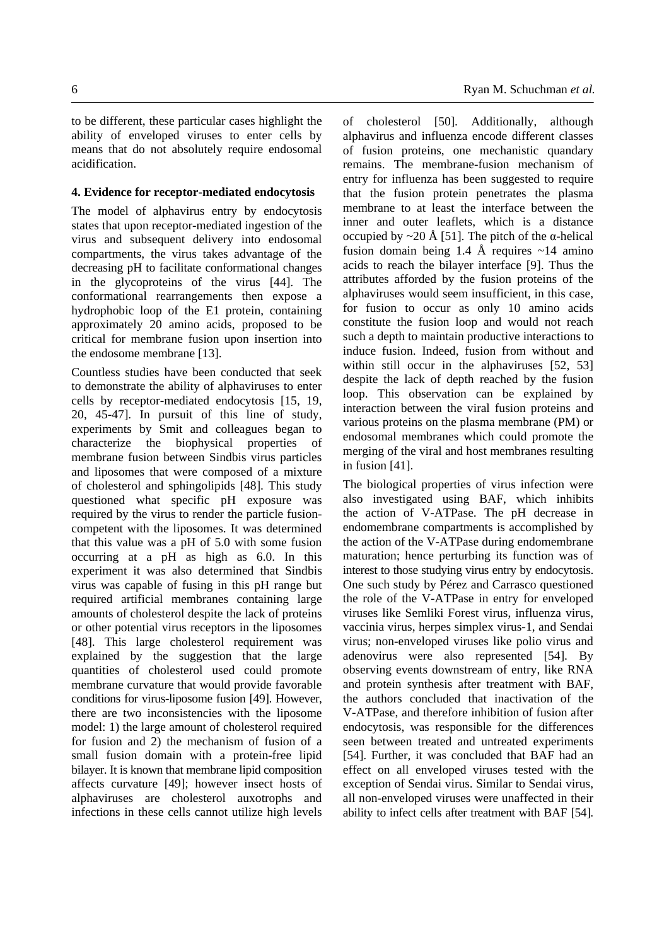to be different, these particular cases highlight the ability of enveloped viruses to enter cells by means that do not absolutely require endosomal acidification.

#### **4. Evidence for receptor-mediated endocytosis**

The model of alphavirus entry by endocytosis states that upon receptor-mediated ingestion of the virus and subsequent delivery into endosomal compartments, the virus takes advantage of the decreasing pH to facilitate conformational changes in the glycoproteins of the virus [44]. The conformational rearrangements then expose a hydrophobic loop of the E1 protein, containing approximately 20 amino acids, proposed to be critical for membrane fusion upon insertion into the endosome membrane [13].

Countless studies have been conducted that seek to demonstrate the ability of alphaviruses to enter cells by receptor-mediated endocytosis [15, 19, 20, 45-47]. In pursuit of this line of study, experiments by Smit and colleagues began to characterize the biophysical properties of membrane fusion between Sindbis virus particles and liposomes that were composed of a mixture of cholesterol and sphingolipids [48]. This study questioned what specific pH exposure was required by the virus to render the particle fusioncompetent with the liposomes. It was determined that this value was a pH of 5.0 with some fusion occurring at a pH as high as 6.0. In this experiment it was also determined that Sindbis virus was capable of fusing in this pH range but required artificial membranes containing large amounts of cholesterol despite the lack of proteins or other potential virus receptors in the liposomes [48]. This large cholesterol requirement was explained by the suggestion that the large quantities of cholesterol used could promote membrane curvature that would provide favorable conditions for virus-liposome fusion [49]. However, there are two inconsistencies with the liposome model: 1) the large amount of cholesterol required for fusion and 2) the mechanism of fusion of a small fusion domain with a protein-free lipid bilayer. It is known that membrane lipid composition affects curvature [49]; however insect hosts of alphaviruses are cholesterol auxotrophs and infections in these cells cannot utilize high levels of cholesterol [50]. Additionally, although alphavirus and influenza encode different classes of fusion proteins, one mechanistic quandary remains. The membrane-fusion mechanism of entry for influenza has been suggested to require that the fusion protein penetrates the plasma membrane to at least the interface between the inner and outer leaflets, which is a distance occupied by  $\sim$ 20 Å [51]. The pitch of the α-helical fusion domain being 1.4 Å requires  $\sim$ 14 amino acids to reach the bilayer interface [9]. Thus the attributes afforded by the fusion proteins of the alphaviruses would seem insufficient, in this case, for fusion to occur as only 10 amino acids constitute the fusion loop and would not reach such a depth to maintain productive interactions to induce fusion. Indeed, fusion from without and within still occur in the alphaviruses [52, 53] despite the lack of depth reached by the fusion loop. This observation can be explained by interaction between the viral fusion proteins and various proteins on the plasma membrane (PM) or endosomal membranes which could promote the merging of the viral and host membranes resulting in fusion [41].

The biological properties of virus infection were also investigated using BAF, which inhibits the action of V-ATPase. The pH decrease in endomembrane compartments is accomplished by the action of the V-ATPase during endomembrane maturation; hence perturbing its function was of interest to those studying virus entry by endocytosis. One such study by Pérez and Carrasco questioned the role of the V-ATPase in entry for enveloped viruses like Semliki Forest virus, influenza virus, vaccinia virus, herpes simplex virus-1, and Sendai virus; non-enveloped viruses like polio virus and adenovirus were also represented [54]. By observing events downstream of entry, like RNA and protein synthesis after treatment with BAF, the authors concluded that inactivation of the V-ATPase, and therefore inhibition of fusion after endocytosis, was responsible for the differences seen between treated and untreated experiments [54]. Further, it was concluded that BAF had an effect on all enveloped viruses tested with the exception of Sendai virus. Similar to Sendai virus, all non-enveloped viruses were unaffected in their ability to infect cells after treatment with BAF [54].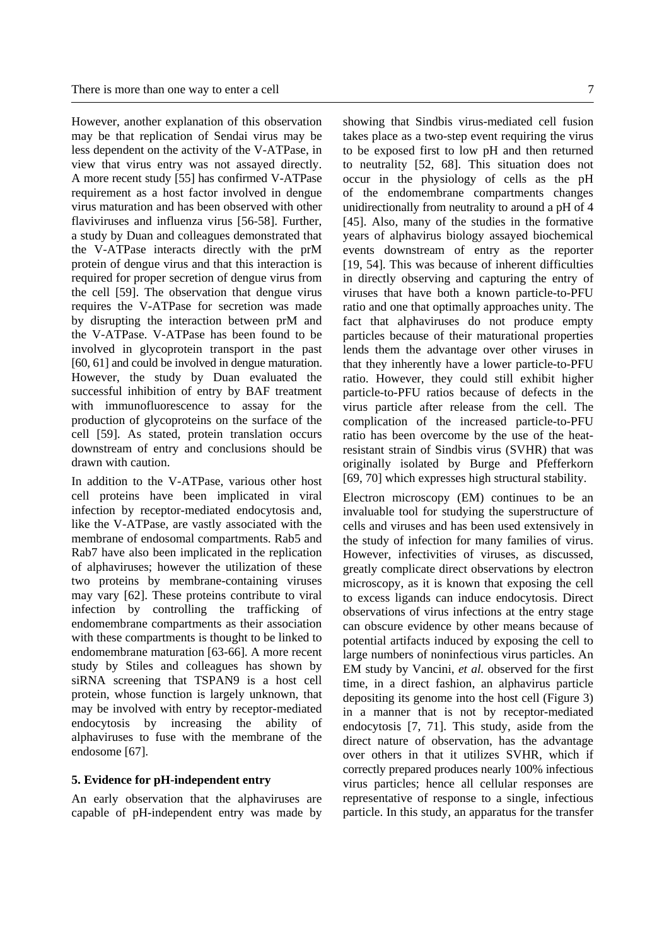However, another explanation of this observation may be that replication of Sendai virus may be less dependent on the activity of the V-ATPase, in view that virus entry was not assayed directly. A more recent study [55] has confirmed V-ATPase requirement as a host factor involved in dengue virus maturation and has been observed with other flaviviruses and influenza virus [56-58]. Further, a study by Duan and colleagues demonstrated that the V-ATPase interacts directly with the prM protein of dengue virus and that this interaction is required for proper secretion of dengue virus from the cell [59]. The observation that dengue virus requires the V-ATPase for secretion was made by disrupting the interaction between prM and the V-ATPase. V-ATPase has been found to be involved in glycoprotein transport in the past [60, 61] and could be involved in dengue maturation. However, the study by Duan evaluated the successful inhibition of entry by BAF treatment with immunofluorescence to assay for the production of glycoproteins on the surface of the cell [59]. As stated, protein translation occurs downstream of entry and conclusions should be drawn with caution.

In addition to the V-ATPase, various other host cell proteins have been implicated in viral infection by receptor-mediated endocytosis and, like the V-ATPase, are vastly associated with the membrane of endosomal compartments. Rab5 and Rab7 have also been implicated in the replication of alphaviruses; however the utilization of these two proteins by membrane-containing viruses may vary [62]. These proteins contribute to viral infection by controlling the trafficking of endomembrane compartments as their association with these compartments is thought to be linked to endomembrane maturation [63-66]. A more recent study by Stiles and colleagues has shown by siRNA screening that TSPAN9 is a host cell protein, whose function is largely unknown, that may be involved with entry by receptor-mediated endocytosis by increasing the ability of alphaviruses to fuse with the membrane of the endosome [67].

# **5. Evidence for pH-independent entry**

An early observation that the alphaviruses are capable of pH-independent entry was made by showing that Sindbis virus-mediated cell fusion takes place as a two-step event requiring the virus to be exposed first to low pH and then returned to neutrality [52, 68]. This situation does not occur in the physiology of cells as the pH of the endomembrane compartments changes unidirectionally from neutrality to around a pH of 4 [45]. Also, many of the studies in the formative years of alphavirus biology assayed biochemical events downstream of entry as the reporter [19, 54]. This was because of inherent difficulties in directly observing and capturing the entry of viruses that have both a known particle-to-PFU ratio and one that optimally approaches unity. The fact that alphaviruses do not produce empty particles because of their maturational properties lends them the advantage over other viruses in that they inherently have a lower particle-to-PFU ratio. However, they could still exhibit higher particle-to-PFU ratios because of defects in the virus particle after release from the cell. The complication of the increased particle-to-PFU ratio has been overcome by the use of the heatresistant strain of Sindbis virus (SVHR) that was originally isolated by Burge and Pfefferkorn [69, 70] which expresses high structural stability.

Electron microscopy (EM) continues to be an invaluable tool for studying the superstructure of cells and viruses and has been used extensively in the study of infection for many families of virus. However, infectivities of viruses, as discussed, greatly complicate direct observations by electron microscopy, as it is known that exposing the cell to excess ligands can induce endocytosis. Direct observations of virus infections at the entry stage can obscure evidence by other means because of potential artifacts induced by exposing the cell to large numbers of noninfectious virus particles. An EM study by Vancini, *et al.* observed for the first time, in a direct fashion, an alphavirus particle depositing its genome into the host cell (Figure 3) in a manner that is not by receptor-mediated endocytosis [7, 71]. This study, aside from the direct nature of observation, has the advantage over others in that it utilizes SVHR, which if correctly prepared produces nearly 100% infectious virus particles; hence all cellular responses are representative of response to a single, infectious particle. In this study, an apparatus for the transfer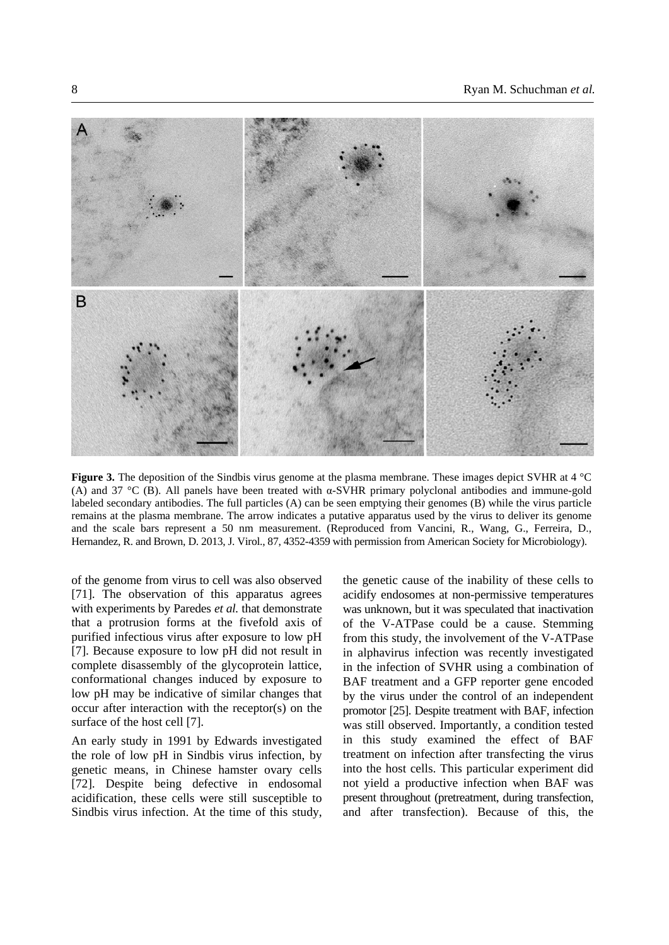

**Figure 3.** The deposition of the Sindbis virus genome at the plasma membrane. These images depict SVHR at 4 °C (A) and 37 °C (B). All panels have been treated with  $\alpha$ -SVHR primary polyclonal antibodies and immune-gold labeled secondary antibodies. The full particles (A) can be seen emptying their genomes (B) while the virus particle remains at the plasma membrane. The arrow indicates a putative apparatus used by the virus to deliver its genome and the scale bars represent a 50 nm measurement. (Reproduced from Vancini, R., Wang, G., Ferreira, D., Hernandez, R. and Brown, D. 2013, J. Virol., 87, 4352-4359 with permission from American Society for Microbiology).

of the genome from virus to cell was also observed [71]. The observation of this apparatus agrees with experiments by Paredes *et al.* that demonstrate that a protrusion forms at the fivefold axis of purified infectious virus after exposure to low pH [7]. Because exposure to low pH did not result in complete disassembly of the glycoprotein lattice, conformational changes induced by exposure to low pH may be indicative of similar changes that occur after interaction with the receptor(s) on the surface of the host cell [7].

An early study in 1991 by Edwards investigated the role of low pH in Sindbis virus infection, by genetic means, in Chinese hamster ovary cells [72]. Despite being defective in endosomal acidification, these cells were still susceptible to Sindbis virus infection. At the time of this study,

the genetic cause of the inability of these cells to acidify endosomes at non-permissive temperatures was unknown, but it was speculated that inactivation of the V-ATPase could be a cause. Stemming from this study, the involvement of the V-ATPase in alphavirus infection was recently investigated in the infection of SVHR using a combination of BAF treatment and a GFP reporter gene encoded by the virus under the control of an independent promotor [25]. Despite treatment with BAF, infection was still observed. Importantly, a condition tested in this study examined the effect of BAF treatment on infection after transfecting the virus into the host cells. This particular experiment did not yield a productive infection when BAF was present throughout (pretreatment, during transfection, and after transfection). Because of this, the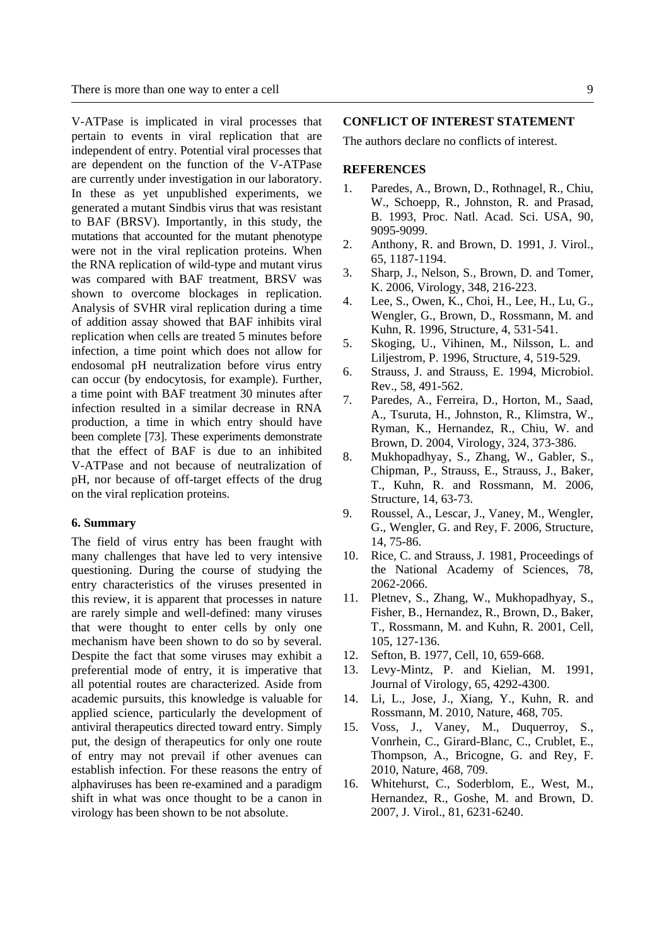V-ATPase is implicated in viral processes that pertain to events in viral replication that are independent of entry. Potential viral processes that are dependent on the function of the V-ATPase are currently under investigation in our laboratory. In these as yet unpublished experiments, we generated a mutant Sindbis virus that was resistant to BAF (BRSV). Importantly, in this study, the mutations that accounted for the mutant phenotype were not in the viral replication proteins. When the RNA replication of wild-type and mutant virus was compared with BAF treatment, BRSV was shown to overcome blockages in replication. Analysis of SVHR viral replication during a time of addition assay showed that BAF inhibits viral replication when cells are treated 5 minutes before infection, a time point which does not allow for endosomal pH neutralization before virus entry can occur (by endocytosis, for example). Further, a time point with BAF treatment 30 minutes after infection resulted in a similar decrease in RNA production, a time in which entry should have been complete [73]. These experiments demonstrate that the effect of BAF is due to an inhibited V-ATPase and not because of neutralization of pH, nor because of off-target effects of the drug on the viral replication proteins.

#### **6. Summary**

The field of virus entry has been fraught with many challenges that have led to very intensive questioning. During the course of studying the entry characteristics of the viruses presented in this review, it is apparent that processes in nature are rarely simple and well-defined: many viruses that were thought to enter cells by only one mechanism have been shown to do so by several. Despite the fact that some viruses may exhibit a preferential mode of entry, it is imperative that all potential routes are characterized. Aside from academic pursuits, this knowledge is valuable for applied science, particularly the development of antiviral therapeutics directed toward entry. Simply put, the design of therapeutics for only one route of entry may not prevail if other avenues can establish infection. For these reasons the entry of alphaviruses has been re-examined and a paradigm shift in what was once thought to be a canon in virology has been shown to be not absolute.

### **CONFLICT OF INTEREST STATEMENT**

The authors declare no conflicts of interest.

#### **REFERENCES**

- 1. Paredes, A., Brown, D., Rothnagel, R., Chiu, W., Schoepp, R., Johnston, R. and Prasad, B. 1993, Proc. Natl. Acad. Sci. USA, 90, 9095-9099.
- 2. Anthony, R. and Brown, D. 1991, J. Virol., 65, 1187-1194.
- 3. Sharp, J., Nelson, S., Brown, D. and Tomer, K. 2006, Virology, 348, 216-223.
- 4. Lee, S., Owen, K., Choi, H., Lee, H., Lu, G., Wengler, G., Brown, D., Rossmann, M. and Kuhn, R. 1996, Structure, 4, 531-541.
- 5. Skoging, U., Vihinen, M., Nilsson, L. and Liljestrom, P. 1996, Structure, 4, 519-529.
- 6. Strauss, J. and Strauss, E. 1994, Microbiol. Rev., 58, 491-562.
- 7. Paredes, A., Ferreira, D., Horton, M., Saad, A., Tsuruta, H., Johnston, R., Klimstra, W., Ryman, K., Hernandez, R., Chiu, W. and Brown, D. 2004, Virology, 324, 373-386.
- 8. Mukhopadhyay, S., Zhang, W., Gabler, S., Chipman, P., Strauss, E., Strauss, J., Baker, T., Kuhn, R. and Rossmann, M. 2006, Structure, 14, 63-73.
- 9. Roussel, A., Lescar, J., Vaney, M., Wengler, G., Wengler, G. and Rey, F. 2006, Structure, 14, 75-86.
- 10. Rice, C. and Strauss, J. 1981, Proceedings of the National Academy of Sciences, 78, 2062-2066.
- 11. Pletnev, S., Zhang, W., Mukhopadhyay, S., Fisher, B., Hernandez, R., Brown, D., Baker, T., Rossmann, M. and Kuhn, R. 2001, Cell, 105, 127-136.
- 12. Sefton, B. 1977, Cell, 10, 659-668.
- 13. Levy-Mintz, P. and Kielian, M. 1991, Journal of Virology, 65, 4292-4300.
- 14. Li, L., Jose, J., Xiang, Y., Kuhn, R. and Rossmann, M. 2010, Nature, 468, 705.
- 15. Voss, J., Vaney, M., Duquerroy, S., Vonrhein, C., Girard-Blanc, C., Crublet, E., Thompson, A., Bricogne, G. and Rey, F. 2010, Nature, 468, 709.
- 16. Whitehurst, C., Soderblom, E., West, M., Hernandez, R., Goshe, M. and Brown, D. 2007, J. Virol., 81, 6231-6240.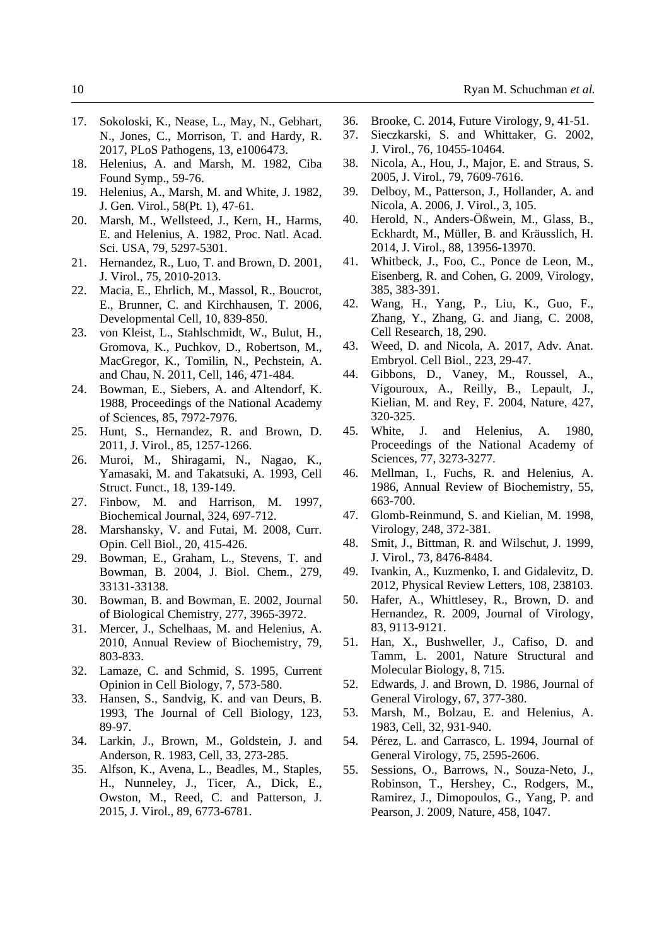- 17. Sokoloski, K., Nease, L., May, N., Gebhart, N., Jones, C., Morrison, T. and Hardy, R. 2017, PLoS Pathogens, 13, e1006473.
- 18. Helenius, A. and Marsh, M. 1982, Ciba Found Symp., 59-76.
- 19. Helenius, A., Marsh, M. and White, J. 1982, J. Gen. Virol., 58(Pt. 1), 47-61.
- 20. Marsh, M., Wellsteed, J., Kern, H., Harms, E. and Helenius, A. 1982, Proc. Natl. Acad. Sci. USA, 79, 5297-5301.
- 21. Hernandez, R., Luo, T. and Brown, D. 2001, J. Virol., 75, 2010-2013.
- 22. Macia, E., Ehrlich, M., Massol, R., Boucrot, E., Brunner, C. and Kirchhausen, T. 2006, Developmental Cell, 10, 839-850.
- 23. von Kleist, L., Stahlschmidt, W., Bulut, H., Gromova, K., Puchkov, D., Robertson, M., MacGregor, K., Tomilin, N., Pechstein, A. and Chau, N. 2011, Cell, 146, 471-484.
- 24. Bowman, E., Siebers, A. and Altendorf, K. 1988, Proceedings of the National Academy of Sciences, 85, 7972-7976.
- 25. Hunt, S., Hernandez, R. and Brown, D. 2011, J. Virol., 85, 1257-1266.
- 26. Muroi, M., Shiragami, N., Nagao, K., Yamasaki, M. and Takatsuki, A. 1993, Cell Struct. Funct., 18, 139-149.
- 27. Finbow, M. and Harrison, M. 1997, Biochemical Journal, 324, 697-712.
- 28. Marshansky, V. and Futai, M. 2008, Curr. Opin. Cell Biol., 20, 415-426.
- 29. Bowman, E., Graham, L., Stevens, T. and Bowman, B. 2004, J. Biol. Chem., 279, 33131-33138.
- 30. Bowman, B. and Bowman, E. 2002, Journal of Biological Chemistry, 277, 3965-3972.
- 31. Mercer, J., Schelhaas, M. and Helenius, A. 2010, Annual Review of Biochemistry, 79, 803-833.
- 32. Lamaze, C. and Schmid, S. 1995, Current Opinion in Cell Biology, 7, 573-580.
- 33. Hansen, S., Sandvig, K. and van Deurs, B. 1993, The Journal of Cell Biology, 123, 89-97.
- 34. Larkin, J., Brown, M., Goldstein, J. and Anderson, R. 1983, Cell, 33, 273-285.
- 35. Alfson, K., Avena, L., Beadles, M., Staples, H., Nunneley, J., Ticer, A., Dick, E., Owston, M., Reed, C. and Patterson, J. 2015, J. Virol., 89, 6773-6781.
- 36. Brooke, C. 2014, Future Virology, 9, 41-51.
- 37. Sieczkarski, S. and Whittaker, G. 2002, J. Virol., 76, 10455-10464.
- 38. Nicola, A., Hou, J., Major, E. and Straus, S. 2005, J. Virol., 79, 7609-7616.
- 39. Delboy, M., Patterson, J., Hollander, A. and Nicola, A. 2006, J. Virol., 3, 105.
- 40. Herold, N., Anders-Ößwein, M., Glass, B., Eckhardt, M., Müller, B. and Kräusslich, H. 2014, J. Virol., 88, 13956-13970.
- 41. Whitbeck, J., Foo, C., Ponce de Leon, M., Eisenberg, R. and Cohen, G. 2009, Virology, 385, 383-391.
- 42. Wang, H., Yang, P., Liu, K., Guo, F., Zhang, Y., Zhang, G. and Jiang, C. 2008, Cell Research, 18, 290.
- 43. Weed, D. and Nicola, A. 2017, Adv. Anat. Embryol. Cell Biol., 223, 29-47.
- 44. Gibbons, D., Vaney, M., Roussel, A., Vigouroux, A., Reilly, B., Lepault, J., Kielian, M. and Rey, F. 2004, Nature, 427, 320-325.
- 45. White, J. and Helenius, A. 1980, Proceedings of the National Academy of Sciences, 77, 3273-3277.
- 46. Mellman, I., Fuchs, R. and Helenius, A. 1986, Annual Review of Biochemistry, 55, 663-700.
- 47. Glomb-Reinmund, S. and Kielian, M. 1998, Virology, 248, 372-381.
- 48. Smit, J., Bittman, R. and Wilschut, J. 1999, J. Virol., 73, 8476-8484.
- 49. Ivankin, A., Kuzmenko, I. and Gidalevitz, D. 2012, Physical Review Letters, 108, 238103.
- 50. Hafer, A., Whittlesey, R., Brown, D. and Hernandez, R. 2009, Journal of Virology, 83, 9113-9121.
- 51. Han, X., Bushweller, J., Cafiso, D. and Tamm, L. 2001, Nature Structural and Molecular Biology, 8, 715.
- 52. Edwards, J. and Brown, D. 1986, Journal of General Virology, 67, 377-380.
- 53. Marsh, M., Bolzau, E. and Helenius, A. 1983, Cell, 32, 931-940.
- 54. Pérez, L. and Carrasco, L. 1994, Journal of General Virology, 75, 2595-2606.
- 55. Sessions, O., Barrows, N., Souza-Neto, J., Robinson, T., Hershey, C., Rodgers, M., Ramirez, J., Dimopoulos, G., Yang, P. and Pearson, J. 2009, Nature, 458, 1047.